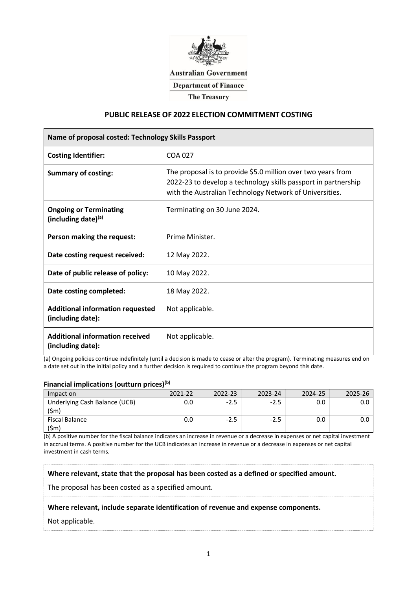

# **Australian Government**

**Department of Finance** 

**The Treasury** 

#### **PUBLIC RELEASE OF 2022 ELECTION COMMITMENT COSTING**

| Name of proposal costed: Technology Skills Passport          |                                                                                                                                                                                           |  |  |  |
|--------------------------------------------------------------|-------------------------------------------------------------------------------------------------------------------------------------------------------------------------------------------|--|--|--|
| <b>Costing Identifier:</b>                                   | COA 027                                                                                                                                                                                   |  |  |  |
| <b>Summary of costing:</b>                                   | The proposal is to provide \$5.0 million over two years from<br>2022-23 to develop a technology skills passport in partnership<br>with the Australian Technology Network of Universities. |  |  |  |
| <b>Ongoing or Terminating</b><br>(including date)(a)         | Terminating on 30 June 2024.                                                                                                                                                              |  |  |  |
| Person making the request:                                   | Prime Minister.                                                                                                                                                                           |  |  |  |
| Date costing request received:                               | 12 May 2022.                                                                                                                                                                              |  |  |  |
| Date of public release of policy:                            | 10 May 2022.                                                                                                                                                                              |  |  |  |
| Date costing completed:                                      | 18 May 2022.                                                                                                                                                                              |  |  |  |
| <b>Additional information requested</b><br>(including date): | Not applicable.                                                                                                                                                                           |  |  |  |
| <b>Additional information received</b><br>(including date):  | Not applicable.                                                                                                                                                                           |  |  |  |

(a) Ongoing policies continue indefinitely (until a decision is made to cease or alter the program). Terminating measures end on a date set out in the initial policy and a further decision is required to continue the program beyond this date.

## **Financial implications (outturn prices)(b)**

| Impact on                     | 2021-22 | 2022-23 |     | 2024-25 |  |
|-------------------------------|---------|---------|-----|---------|--|
| Underlying Cash Balance (UCB) |         | - 15    | -25 |         |  |
| Fiscal Balance                |         |         | -15 |         |  |

(b) A positive number for the fiscal balance indicates an increase in revenue or a decrease in expenses or net capital investment in accrual terms. A positive number for the UCB indicates an increase in revenue or a decrease in expenses or net capital investment in cash terms.

**Where relevant, state that the proposal has been costed as a defined or specified amount.**

The proposal has been costed as a specified amount.

**Where relevant, include separate identification of revenue and expense components.** 

Not applicable.